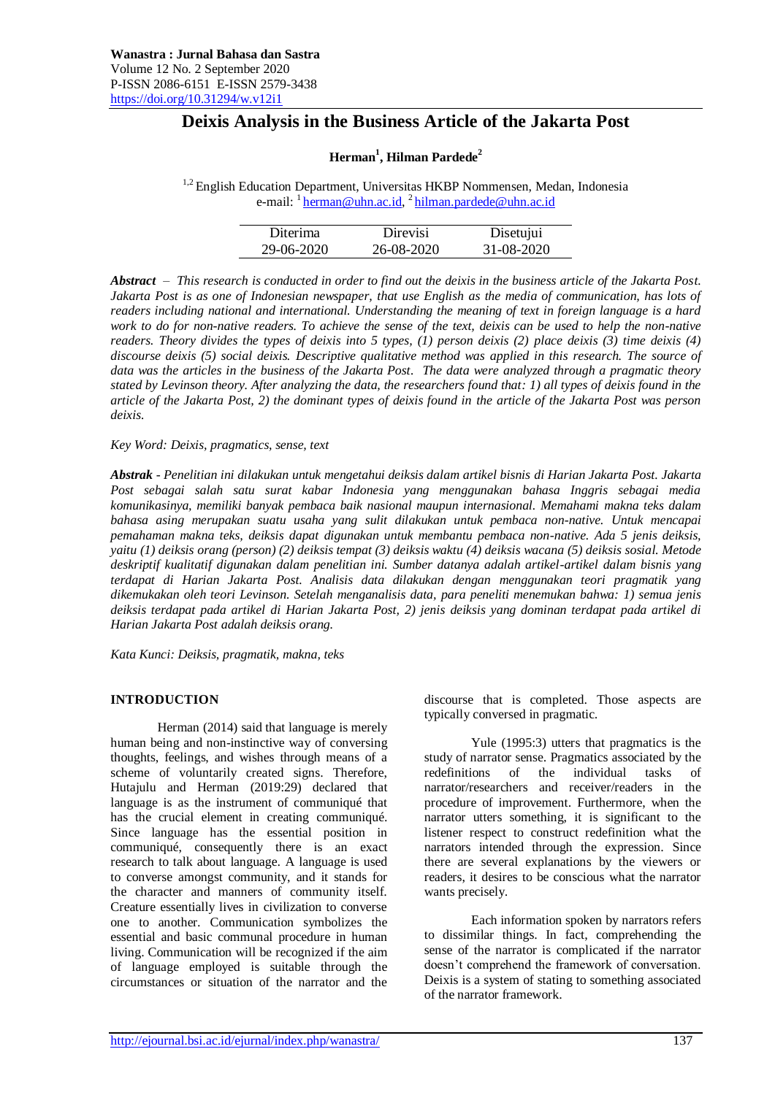# **Deixis Analysis in the Business Article of the Jakarta Post**

# **Herman<sup>1</sup> , Hilman Pardede<sup>2</sup>**

<sup>1,2</sup> English Education Department, Universitas HKBP Nommensen, Medan, Indonesia e-mail: <sup>1</sup> <u>herman@uhn.ac.id</u>, <sup>2</sup> [hilman.pardede@uhn.ac.id](mailto:hilman.pardede@uhn.ac.id)

| Diterima   | Direvisi   | Disetujui  |
|------------|------------|------------|
| 29-06-2020 | 26-08-2020 | 31-08-2020 |

*Abstract – This research is conducted in order to find out the deixis in the business article of the Jakarta Post. Jakarta Post is as one of Indonesian newspaper, that use English as the media of communication, has lots of readers including national and international. Understanding the meaning of text in foreign language is a hard work to do for non-native readers. To achieve the sense of the text, deixis can be used to help the non-native readers. Theory divides the types of deixis into 5 types, (1) person deixis (2) place deixis (3) time deixis (4) discourse deixis (5) social deixis. Descriptive qualitative method was applied in this research. The source of data was the articles in the business of the Jakarta Post. The data were analyzed through a pragmatic theory stated by Levinson theory. After analyzing the data, the researchers found that: 1) all types of deixis found in the article of the Jakarta Post, 2) the dominant types of deixis found in the article of the Jakarta Post was person deixis.*

*Key Word: Deixis, pragmatics, sense, text*

*Abstrak - Penelitian ini dilakukan untuk mengetahui deiksis dalam artikel bisnis di Harian Jakarta Post. Jakarta Post sebagai salah satu surat kabar Indonesia yang menggunakan bahasa Inggris sebagai media komunikasinya, memiliki banyak pembaca baik nasional maupun internasional. Memahami makna teks dalam bahasa asing merupakan suatu usaha yang sulit dilakukan untuk pembaca non-native. Untuk mencapai pemahaman makna teks, deiksis dapat digunakan untuk membantu pembaca non-native. Ada 5 jenis deiksis, yaitu (1) deiksis orang (person) (2) deiksis tempat (3) deiksis waktu (4) deiksis wacana (5) deiksis sosial. Metode deskriptif kualitatif digunakan dalam penelitian ini. Sumber datanya adalah artikel-artikel dalam bisnis yang terdapat di Harian Jakarta Post. Analisis data dilakukan dengan menggunakan teori pragmatik yang dikemukakan oleh teori Levinson. Setelah menganalisis data, para peneliti menemukan bahwa: 1) semua jenis deiksis terdapat pada artikel di Harian Jakarta Post, 2) jenis deiksis yang dominan terdapat pada artikel di Harian Jakarta Post adalah deiksis orang.*

*Kata Kunci: Deiksis, pragmatik, makna, teks*

# **INTRODUCTION**

Herman (2014) said that language is merely human being and non-instinctive way of conversing thoughts, feelings, and wishes through means of a scheme of voluntarily created signs. Therefore, Hutajulu and Herman (2019:29) declared that language is as the instrument of communiqué that has the crucial element in creating communiqué. Since language has the essential position in communiqué, consequently there is an exact research to talk about language. A language is used to converse amongst community, and it stands for the character and manners of community itself. Creature essentially lives in civilization to converse one to another. Communication symbolizes the essential and basic communal procedure in human living. Communication will be recognized if the aim of language employed is suitable through the circumstances or situation of the narrator and the

discourse that is completed. Those aspects are typically conversed in pragmatic.

Yule (1995:3) utters that pragmatics is the study of narrator sense. Pragmatics associated by the redefinitions of the individual tasks of narrator/researchers and receiver/readers in the procedure of improvement. Furthermore, when the narrator utters something, it is significant to the listener respect to construct redefinition what the narrators intended through the expression. Since there are several explanations by the viewers or readers, it desires to be conscious what the narrator wants precisely.

Each information spoken by narrators refers to dissimilar things. In fact, comprehending the sense of the narrator is complicated if the narrator doesn't comprehend the framework of conversation. Deixis is a system of stating to something associated of the narrator framework.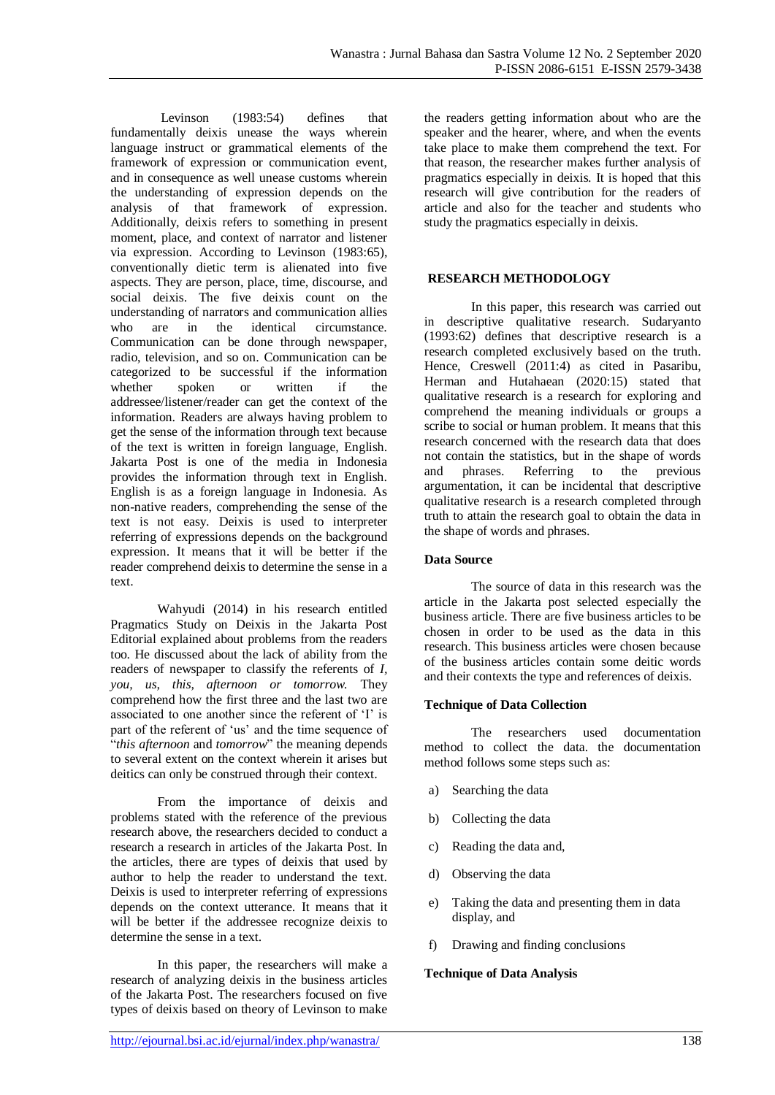Levinson (1983:54) defines that fundamentally deixis unease the ways wherein language instruct or grammatical elements of the framework of expression or communication event, and in consequence as well unease customs wherein the understanding of expression depends on the analysis of that framework of expression. Additionally, deixis refers to something in present moment, place, and context of narrator and listener via expression. According to Levinson (1983:65), conventionally dietic term is alienated into five aspects. They are person, place, time, discourse, and social deixis. The five deixis count on the understanding of narrators and communication allies who are in the identical circumstance. Communication can be done through newspaper, radio, television, and so on. Communication can be categorized to be successful if the information whether spoken or written if the addressee/listener/reader can get the context of the information. Readers are always having problem to get the sense of the information through text because of the text is written in foreign language, English. Jakarta Post is one of the media in Indonesia provides the information through text in English. English is as a foreign language in Indonesia. As non-native readers, comprehending the sense of the text is not easy. Deixis is used to interpreter referring of expressions depends on the background expression. It means that it will be better if the reader comprehend deixis to determine the sense in a text.

Wahyudi (2014) in his research entitled Pragmatics Study on Deixis in the Jakarta Post Editorial explained about problems from the readers too. He discussed about the lack of ability from the readers of newspaper to classify the referents of *I, you, us, this, afternoon or tomorrow.* They comprehend how the first three and the last two are associated to one another since the referent of 'I' is part of the referent of 'us' and the time sequence of "*this afternoon* and *tomorrow*" the meaning depends to several extent on the context wherein it arises but deitics can only be construed through their context.

From the importance of deixis and problems stated with the reference of the previous research above, the researchers decided to conduct a research a research in articles of the Jakarta Post. In the articles, there are types of deixis that used by author to help the reader to understand the text. Deixis is used to interpreter referring of expressions depends on the context utterance. It means that it will be better if the addressee recognize deixis to determine the sense in a text.

In this paper, the researchers will make a research of analyzing deixis in the business articles of the Jakarta Post. The researchers focused on five types of deixis based on theory of Levinson to make

the readers getting information about who are the speaker and the hearer, where, and when the events take place to make them comprehend the text. For that reason, the researcher makes further analysis of pragmatics especially in deixis. It is hoped that this research will give contribution for the readers of article and also for the teacher and students who study the pragmatics especially in deixis.

# **RESEARCH METHODOLOGY**

In this paper, this research was carried out in descriptive qualitative research. Sudaryanto (1993:62) defines that descriptive research is a research completed exclusively based on the truth. Hence, Creswell (2011:4) as cited in Pasaribu, Herman and Hutahaean (2020:15) stated that qualitative research is a research for exploring and comprehend the meaning individuals or groups a scribe to social or human problem. It means that this research concerned with the research data that does not contain the statistics, but in the shape of words<br>and phrases. Referring to the previous and phrases. Referring to the argumentation, it can be incidental that descriptive qualitative research is a research completed through truth to attain the research goal to obtain the data in the shape of words and phrases.

# **Data Source**

The source of data in this research was the article in the Jakarta post selected especially the business article. There are five business articles to be chosen in order to be used as the data in this research. This business articles were chosen because of the business articles contain some deitic words and their contexts the type and references of deixis.

# **Technique of Data Collection**

The researchers used documentation method to collect the data. the documentation method follows some steps such as:

- a) Searching the data
- b) Collecting the data
- c) Reading the data and,
- d) Observing the data
- e) Taking the data and presenting them in data display, and
- f) Drawing and finding conclusions

# **Technique of Data Analysis**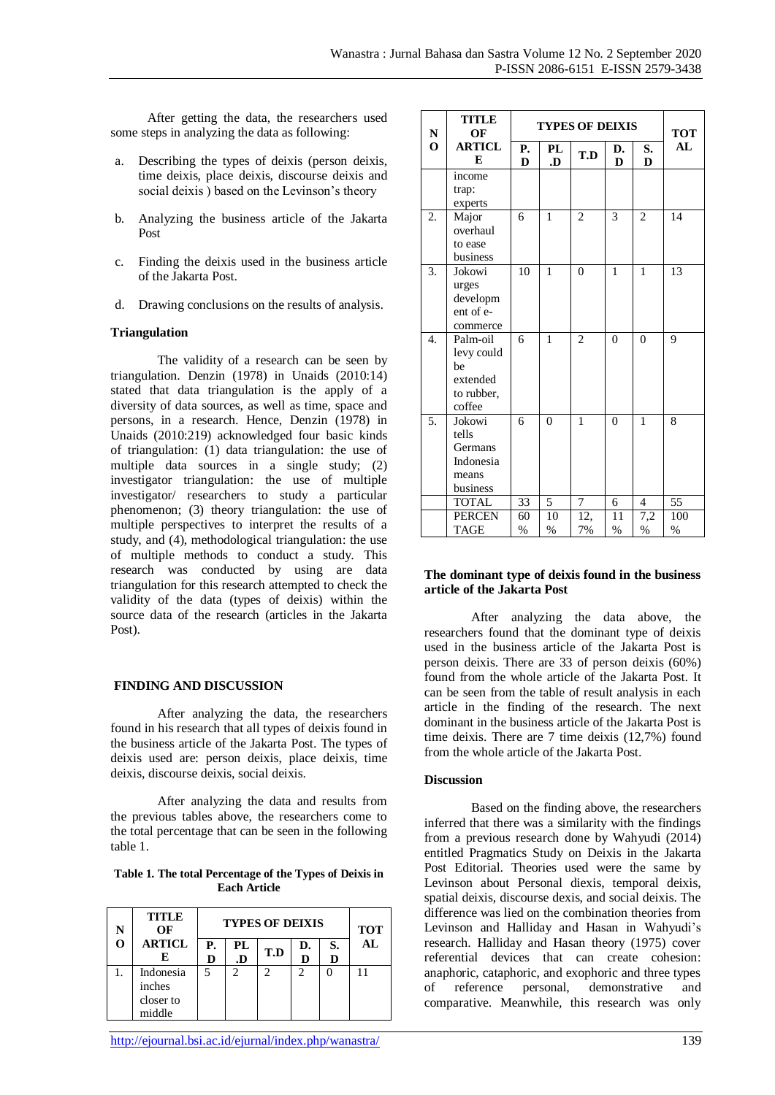<u>TITLE</u>

After getting the data, the researchers used some steps in analyzing the data as following:

- a. Describing the types of deixis (person deixis, time deixis, place deixis, discourse deixis and social deixis ) based on the Levinson's theory
- b. Analyzing the business article of the Jakarta Post
- c. Finding the deixis used in the business article of the Jakarta Post.
- d. Drawing conclusions on the results of analysis.

# **Triangulation**

The validity of a research can be seen by triangulation. Denzin (1978) in Unaids (2010:14) stated that data triangulation is the apply of a diversity of data sources, as well as time, space and persons, in a research. Hence, Denzin (1978) in Unaids (2010:219) acknowledged four basic kinds of triangulation: (1) data triangulation: the use of multiple data sources in a single study; (2) investigator triangulation: the use of multiple investigator/ researchers to study a particular phenomenon; (3) theory triangulation: the use of multiple perspectives to interpret the results of a study, and (4), methodological triangulation: the use of multiple methods to conduct a study. This research was conducted by using are data triangulation for this research attempted to check the validity of the data (types of deixis) within the source data of the research (articles in the Jakarta Post).

# **FINDING AND DISCUSSION**

After analyzing the data, the researchers found in his research that all types of deixis found in the business article of the Jakarta Post. The types of deixis used are: person deixis, place deixis, time deixis, discourse deixis, social deixis.

After analyzing the data and results from the previous tables above, the researchers come to the total percentage that can be seen in the following table 1.

**Table 1. The total Percentage of the Types of Deixis in Each Article**

| <b>TITLE</b><br>OF                         | <b>TYPES OF DEIXIS</b> |                |     |         | <b>TOT</b> |    |
|--------------------------------------------|------------------------|----------------|-----|---------|------------|----|
| <b>ARTICL</b><br>E                         | Р.<br>D                | PL<br>.D       | T.D | D.<br>D | S.<br>D    | AL |
| Indonesia<br>inches<br>closer to<br>middle | 5                      | $\mathfrak{D}$ | 2   | っ       |            |    |

| N                | 11.LLC<br>OF                                                     | <b>TYPES OF DEIXIS</b> |              |                |                     |                | <b>TOT</b>  |
|------------------|------------------------------------------------------------------|------------------------|--------------|----------------|---------------------|----------------|-------------|
| $\mathbf 0$      | <b>ARTICL</b><br>E                                               | Р.<br>D                | PL<br>.D     | T.D            | D.<br>D             | S.<br>D        | AL          |
|                  | income<br>trap:<br>experts                                       |                        |              |                |                     |                |             |
| 2.               | Major<br>overhaul<br>to ease<br>business                         | 6                      | 1            | $\overline{2}$ | 3                   | $\overline{c}$ | 14          |
| 3.               | Jokowi<br>urges<br>developm<br>ent of e-<br>commerce             | $\overline{10}$        | $\mathbf{1}$ | $\theta$       | $\mathbf{1}$        | $\mathbf{1}$   | 13          |
| $\overline{4}$ . | Palm-oil<br>levy could<br>be<br>extended<br>to rubber,<br>coffee | 6                      | $\mathbf{1}$ | $\overline{2}$ | $\theta$            | $\theta$       | 9           |
| 5.               | Jokowi<br>tells<br>Germans<br>Indonesia<br>means<br>business     | 6                      | $\theta$     | $\mathbf{1}$   | $\theta$            | 1              | 8           |
|                  | <b>TOTAL</b>                                                     | 33                     | 5            | 7              | 6                   | $\overline{4}$ | 55          |
|                  | <b>PERCEN</b><br><b>TAGE</b>                                     | 60<br>$\%$             | 10<br>$\%$   | 12,<br>7%      | 11<br>$\frac{0}{6}$ | 7,2<br>$\%$    | 100<br>$\%$ |

### **The dominant type of deixis found in the business article of the Jakarta Post**

After analyzing the data above, the researchers found that the dominant type of deixis used in the business article of the Jakarta Post is person deixis. There are 33 of person deixis (60%) found from the whole article of the Jakarta Post. It can be seen from the table of result analysis in each article in the finding of the research. The next dominant in the business article of the Jakarta Post is time deixis. There are 7 time deixis (12,7%) found from the whole article of the Jakarta Post.

# **Discussion**

Based on the finding above, the researchers inferred that there was a similarity with the findings from a previous research done by Wahyudi (2014) entitled Pragmatics Study on Deixis in the Jakarta Post Editorial. Theories used were the same by Levinson about Personal diexis, temporal deixis, spatial deixis, discourse dexis, and social deixis. The difference was lied on the combination theories from Levinson and Halliday and Hasan in Wahyudi's research. Halliday and Hasan theory (1975) cover referential devices that can create cohesion: anaphoric, cataphoric, and exophoric and three types of reference personal, demonstrative and comparative. Meanwhile, this research was only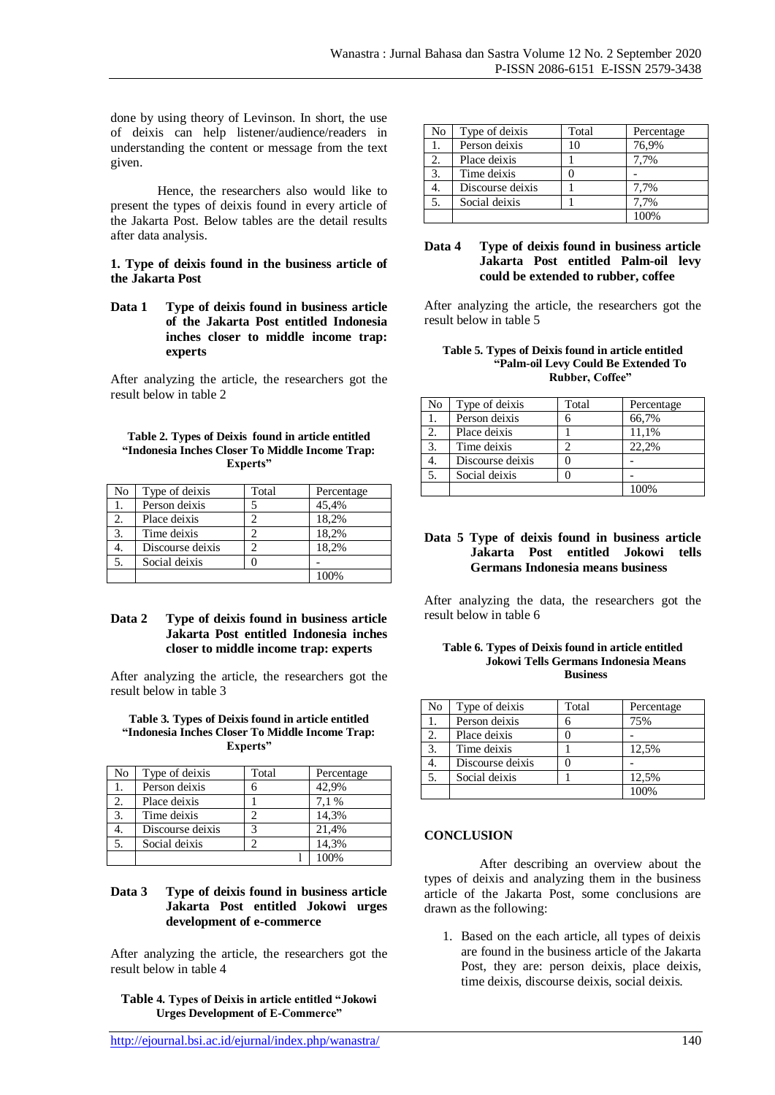done by using theory of Levinson. In short, the use of deixis can help listener/audience/readers in understanding the content or message from the text given.

Hence, the researchers also would like to present the types of deixis found in every article of the Jakarta Post. Below tables are the detail results after data analysis.

### **1. Type of deixis found in the business article of the Jakarta Post**

**Data 1 Type of deixis found in business article of the Jakarta Post entitled Indonesia inches closer to middle income trap: experts**

After analyzing the article, the researchers got the result below in table 2

#### **Table 2. Types of Deixis found in article entitled "Indonesia Inches Closer To Middle Income Trap: Experts"**

| No               | Type of deixis   | Total | Percentage |
|------------------|------------------|-------|------------|
|                  | Person deixis    |       | 45,4%      |
|                  | Place deixis     |       | 18,2%      |
| 3.               | Time deixis      |       | 18,2%      |
| 4.               | Discourse deixis |       | 18,2%      |
| $\overline{5}$ . | Social deixis    |       |            |
|                  |                  |       |            |

# **Data 2 Type of deixis found in business article Jakarta Post entitled Indonesia inches closer to middle income trap: experts**

After analyzing the article, the researchers got the result below in table 3

#### **Table 3. Types of Deixis found in article entitled "Indonesia Inches Closer To Middle Income Trap: Experts"**

| No | Type of deixis   | Total | Percentage |
|----|------------------|-------|------------|
|    | Person deixis    | 6     | 42,9%      |
| 2. | Place deixis     |       | 7.1%       |
| 3. | Time deixis      |       | 14,3%      |
|    | Discourse deixis | 3     | 21,4%      |
| 5. | Social deixis    | ി     | 14,3%      |
|    |                  |       |            |

# **Data 3 Type of deixis found in business article Jakarta Post entitled Jokowi urges development of e-commerce**

After analyzing the article, the researchers got the result below in table 4

**Table 4. Types of Deixis in article entitled "Jokowi Urges Development of E-Commerce"**

| No | Type of deixis   | Total | Percentage |
|----|------------------|-------|------------|
|    | Person deixis    | 10    | 76,9%      |
|    | Place deixis     |       | 7,7%       |
| 3. | Time deixis      |       |            |
|    | Discourse deixis |       | 7.7%       |
|    | Social deixis    |       | 7,7%       |
|    |                  |       |            |

# **Data 4 Type of deixis found in business article Jakarta Post entitled Palm-oil levy could be extended to rubber, coffee**

After analyzing the article, the researchers got the result below in table 5

#### **Table 5. Types of Deixis found in article entitled "Palm-oil Levy Could Be Extended To Rubber, Coffee"**

| No | Type of deixis   | Total | Percentage |
|----|------------------|-------|------------|
|    | Person deixis    |       | 66,7%      |
|    | Place deixis     |       | 11,1%      |
| 3. | Time deixis      |       | 22.2%      |
|    | Discourse deixis |       |            |
| 5. | Social deixis    |       |            |
|    |                  |       |            |

### **Data 5 Type of deixis found in business article Jakarta Post entitled Jokowi tells Germans Indonesia means business**

After analyzing the data, the researchers got the result below in table 6

| Table 6. Types of Deixis found in article entitled |
|----------------------------------------------------|
| Jokowi Tells Germans Indonesia Means               |
| <b>Business</b>                                    |

| No | Type of deixis   | Total | Percentage |
|----|------------------|-------|------------|
|    | Person deixis    |       | 75%        |
| 2. | Place deixis     |       |            |
| 3. | Time deixis      |       | 12,5%      |
|    | Discourse deixis |       |            |
| 5. | Social deixis    |       | 12,5%      |
|    |                  |       | 100%       |

# **CONCLUSION**

After describing an overview about the types of deixis and analyzing them in the business article of the Jakarta Post, some conclusions are drawn as the following:

1. Based on the each article, all types of deixis are found in the business article of the Jakarta Post, they are: person deixis, place deixis, time deixis, discourse deixis, social deixis.